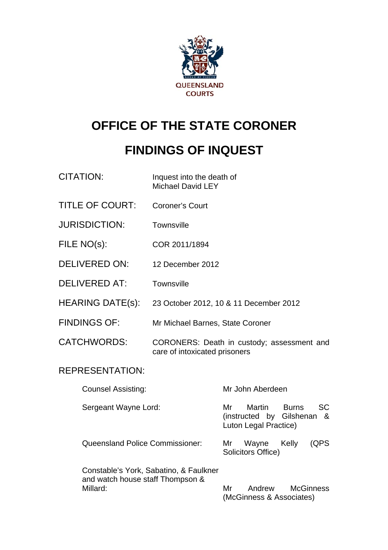

# **OFFICE OF THE STATE CORONER**

# **FINDINGS OF INQUEST**

| <b>CITATION:</b>                       | Inquest into the death of<br><b>Michael David LEY</b> |                                                                                                        |  |
|----------------------------------------|-------------------------------------------------------|--------------------------------------------------------------------------------------------------------|--|
| <b>TITLE OF COURT:</b>                 | <b>Coroner's Court</b>                                |                                                                                                        |  |
| <b>JURISDICTION:</b>                   | <b>Townsville</b>                                     |                                                                                                        |  |
| FILE NO(s):                            | COR 2011/1894                                         |                                                                                                        |  |
| <b>DELIVERED ON:</b>                   | 12 December 2012                                      |                                                                                                        |  |
| <b>DELIVERED AT:</b>                   | Townsville                                            |                                                                                                        |  |
| <b>HEARING DATE(s):</b>                |                                                       | 23 October 2012, 10 & 11 December 2012                                                                 |  |
| <b>FINDINGS OF:</b>                    | Mr Michael Barnes, State Coroner                      |                                                                                                        |  |
| <b>CATCHWORDS:</b>                     | care of intoxicated prisoners                         | CORONERS: Death in custody; assessment and                                                             |  |
| <b>REPRESENTATION:</b>                 |                                                       |                                                                                                        |  |
| <b>Counsel Assisting:</b>              |                                                       | Mr John Aberdeen                                                                                       |  |
| Sergeant Wayne Lord:                   |                                                       | <b>SC</b><br>Mr<br>Martin<br><b>Burns</b><br>Gilshenan<br>(instructed by<br>&<br>Luton Legal Practice) |  |
| <b>Queensland Police Commissioner:</b> |                                                       | (QPS)<br>Wayne<br>Kelly<br>Mr<br>Solicitors Office)                                                    |  |
| Constable's York, Sabatino, & Faulkner |                                                       |                                                                                                        |  |

Constable's York, Sabatino, & Faulkner and watch house staff Thompson & Millard: Millard: Mr Andrew McGinness (McGinness & Associates)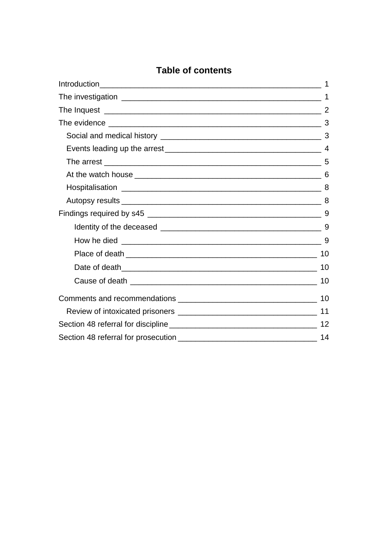## **Table of contents**

| $\mathbf 1$ |
|-------------|
|             |
|             |
|             |
|             |
|             |
|             |
|             |
|             |
|             |
|             |
|             |
|             |
| 10          |
|             |
|             |
|             |
|             |
| 12          |
| 14          |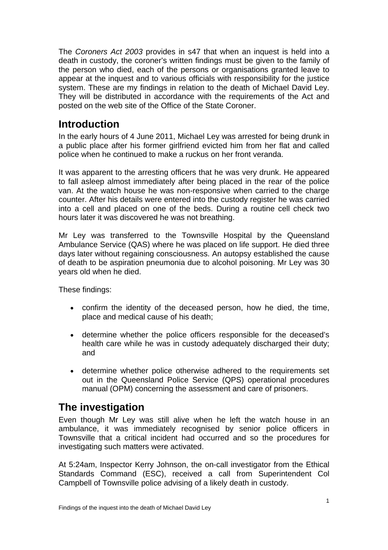<span id="page-2-0"></span>The *Coroners Act 2003* provides in s47 that when an inquest is held into a death in custody, the coroner's written findings must be given to the family of the person who died, each of the persons or organisations granted leave to appear at the inquest and to various officials with responsibility for the justice system. These are my findings in relation to the death of Michael David Ley. They will be distributed in accordance with the requirements of the Act and posted on the web site of the Office of the State Coroner.

# **Introduction**

In the early hours of 4 June 2011, Michael Ley was arrested for being drunk in a public place after his former girlfriend evicted him from her flat and called police when he continued to make a ruckus on her front veranda.

It was apparent to the arresting officers that he was very drunk. He appeared to fall asleep almost immediately after being placed in the rear of the police van. At the watch house he was non-responsive when carried to the charge counter. After his details were entered into the custody register he was carried into a cell and placed on one of the beds. During a routine cell check two hours later it was discovered he was not breathing.

Mr Ley was transferred to the Townsville Hospital by the Queensland Ambulance Service (QAS) where he was placed on life support. He died three days later without regaining consciousness. An autopsy established the cause of death to be aspiration pneumonia due to alcohol poisoning. Mr Ley was 30 years old when he died.

These findings:

- confirm the identity of the deceased person, how he died, the time, place and medical cause of his death;
- determine whether the police officers responsible for the deceased's health care while he was in custody adequately discharged their duty; and
- determine whether police otherwise adhered to the requirements set out in the Queensland Police Service (QPS) operational procedures manual (OPM) concerning the assessment and care of prisoners.

# **The investigation**

Even though Mr Ley was still alive when he left the watch house in an ambulance, it was immediately recognised by senior police officers in Townsville that a critical incident had occurred and so the procedures for investigating such matters were activated.

At 5:24am, Inspector Kerry Johnson, the on-call investigator from the Ethical Standards Command (ESC), received a call from Superintendent Col Campbell of Townsville police advising of a likely death in custody.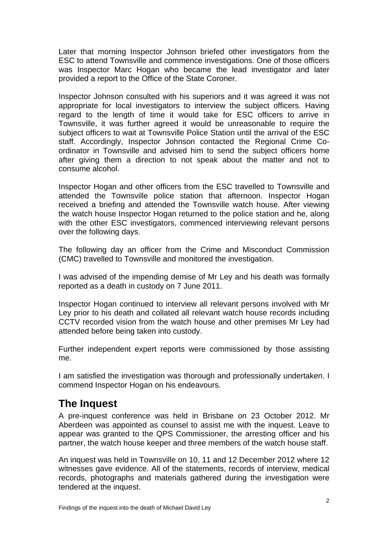<span id="page-3-0"></span>Later that morning Inspector Johnson briefed other investigators from the ESC to attend Townsville and commence investigations. One of those officers was Inspector Marc Hogan who became the lead investigator and later provided a report to the Office of the State Coroner.

Inspector Johnson consulted with his superiors and it was agreed it was not appropriate for local investigators to interview the subject officers. Having regard to the length of time it would take for ESC officers to arrive in Townsville, it was further agreed it would be unreasonable to require the subject officers to wait at Townsville Police Station until the arrival of the ESC staff. Accordingly, Inspector Johnson contacted the Regional Crime Coordinator in Townsville and advised him to send the subject officers home after giving them a direction to not speak about the matter and not to consume alcohol.

Inspector Hogan and other officers from the ESC travelled to Townsville and attended the Townsville police station that afternoon. Inspector Hogan received a briefing and attended the Townsville watch house. After viewing the watch house Inspector Hogan returned to the police station and he, along with the other ESC investigators, commenced interviewing relevant persons over the following days.

The following day an officer from the Crime and Misconduct Commission (CMC) travelled to Townsville and monitored the investigation.

I was advised of the impending demise of Mr Ley and his death was formally reported as a death in custody on 7 June 2011.

Inspector Hogan continued to interview all relevant persons involved with Mr Ley prior to his death and collated all relevant watch house records including CCTV recorded vision from the watch house and other premises Mr Ley had attended before being taken into custody.

Further independent expert reports were commissioned by those assisting me.

I am satisfied the investigation was thorough and professionally undertaken. I commend Inspector Hogan on his endeavours.

## **The Inquest**

A pre-inquest conference was held in Brisbane on 23 October 2012. Mr Aberdeen was appointed as counsel to assist me with the inquest. Leave to appear was granted to the QPS Commissioner, the arresting officer and his partner, the watch house keeper and three members of the watch house staff.

An inquest was held in Townsville on 10, 11 and 12 December 2012 where 12 witnesses gave evidence. All of the statements, records of interview, medical records, photographs and materials gathered during the investigation were tendered at the inquest.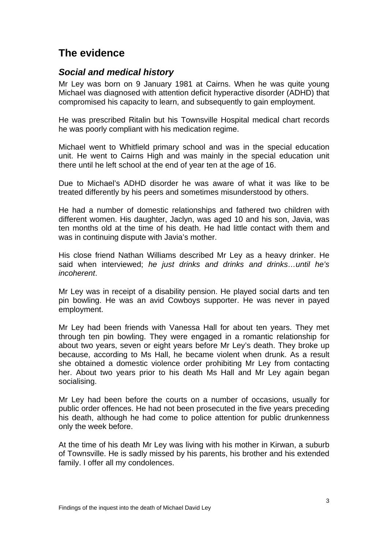# <span id="page-4-0"></span>**The evidence**

### *Social and medical history*

Mr Ley was born on 9 January 1981 at Cairns. When he was quite young Michael was diagnosed with attention deficit hyperactive disorder (ADHD) that compromised his capacity to learn, and subsequently to gain employment.

He was prescribed Ritalin but his Townsville Hospital medical chart records he was poorly compliant with his medication regime.

Michael went to Whitfield primary school and was in the special education unit. He went to Cairns High and was mainly in the special education unit here until he left school at the end of year ten at the age of 16. t

Due to Michael's ADHD disorder he was aware of what it was like to be treated differently by his peers and sometimes misunderstood by others.

He had a number of domestic relationships and fathered two children with different women. His daughter, Jaclyn, was aged 10 and his son, Javia, was ten months old at the time of his death. He had little contact with them and was in continuing dispute with Javia's mother.

His close friend Nathan Williams described Mr Ley as a heavy drinker. He said when interviewed; *he just drinks and drinks and drinks…until he's incoherent*.

Mr Ley was in receipt of a disability pension. He played social darts and ten pin bowling. He was an avid Cowboys supporter. He was never in payed employment.

Mr Ley had been friends with Vanessa Hall for about ten years. They met through ten pin bowling. They were engaged in a romantic relationship for about two years, seven or eight years before Mr Ley's death. They broke up because, according to Ms Hall, he became violent when drunk. As a result she obtained a domestic violence order prohibiting Mr Ley from contacting her. About two years prior to his death Ms Hall and Mr Ley again began socialising.

Mr Ley had been before the courts on a number of occasions, usually for public order offences. He had not been prosecuted in the five years preceding his death, although he had come to police attention for public drunkenness only the week before.

At the time of his death Mr Ley was living with his mother in Kirwan, a suburb of Townsville. He is sadly missed by his parents, his brother and his extended family. I offer all my condolences.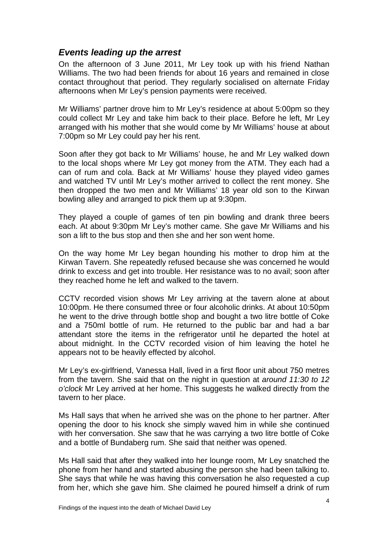### <span id="page-5-0"></span>*Events leading up the arrest*

On the afternoon of 3 June 2011, Mr Ley took up with his friend Nathan Williams. The two had been friends for about 16 years and remained in close contact throughout that period. They regularly socialised on alternate Friday afternoons when Mr Ley's pension payments were received.

Mr Williams' partner drove him to Mr Ley's residence at about 5:00pm so they could collect Mr Ley and take him back to their place. Before he left, Mr Ley arranged with his mother that she would come by Mr Williams' house at about 7:00pm so Mr Ley could pay her his rent.

Soon after they got back to Mr Williams' house, he and Mr Ley walked down to the local shops where Mr Ley got money from the ATM. They each had a can of rum and cola. Back at Mr Williams' house they played video games and watched TV until Mr Ley's mother arrived to collect the rent money. She then dropped the two men and Mr Williams' 18 year old son to the Kirwan bowling alley and arranged to pick them up at 9:30pm.

They played a couple of games of ten pin bowling and drank three beers each. At about 9:30pm Mr Ley's mother came. She gave Mr Williams and his son a lift to the bus stop and then she and her son went home.

On the way home Mr Ley began hounding his mother to drop him at the Kirwan Tavern. She repeatedly refused because she was concerned he would drink to excess and get into trouble. Her resistance was to no avail; soon after they reached home he left and walked to the tavern.

CCTV recorded vision shows Mr Ley arriving at the tavern alone at about 10:00pm. He there consumed three or four alcoholic drinks. At about 10:50pm he went to the drive through bottle shop and bought a two litre bottle of Coke and a 750ml bottle of rum. He returned to the public bar and had a bar attendant store the items in the refrigerator until he departed the hotel at about midnight. In the CCTV recorded vision of him leaving the hotel he appears not to be heavily effected by alcohol.

Mr Ley's ex-girlfriend, Vanessa Hall, lived in a first floor unit about 750 metres from the tavern. She said that on the night in question at *around 11:30 to 12 o'clock* Mr Ley arrived at her home. This suggests he walked directly from the tavern to her place.

Ms Hall says that when he arrived she was on the phone to her partner. After opening the door to his knock she simply waved him in while she continued with her conversation. She saw that he was carrying a two litre bottle of Coke and a bottle of Bundaberg rum. She said that neither was opened.

Ms Hall said that after they walked into her lounge room, Mr Ley snatched the phone from her hand and started abusing the person she had been talking to. She says that while he was having this conversation he also requested a cup from her, which she gave him. She claimed he poured himself a drink of rum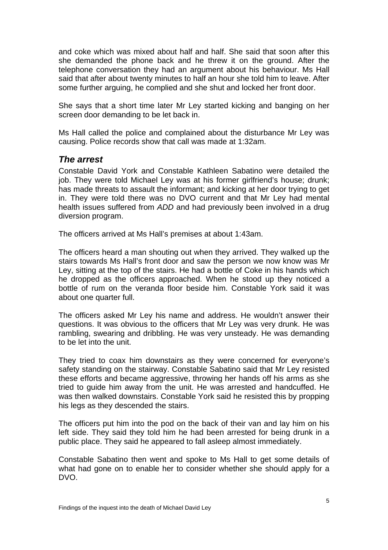<span id="page-6-0"></span>and coke which was mixed about half and half. She said that soon after this she demanded the phone back and he threw it on the ground. After the telephone conversation they had an argument about his behaviour. Ms Hall said that after about twenty minutes to half an hour she told him to leave. After some further arguing, he complied and she shut and locked her front door.

She says that a short time later Mr Ley started kicking and banging on her screen door demanding to be let back in.

Ms Hall called the police and complained about the disturbance Mr Ley was causing. Police records show that call was made at 1:32am.

#### *The arrest*

Constable David York and Constable Kathleen Sabatino were detailed the job. They were told Michael Ley was at his former girlfriend's house; drunk; has made threats to assault the informant; and kicking at her door trying to get in. They were told there was no DVO current and that Mr Ley had mental health issues suffered from *ADD* and had previously been involved in a drug diversion program.

The officers arrived at Ms Hall's premises at about 1:43am.

The officers heard a man shouting out when they arrived. They walked up the stairs towards Ms Hall's front door and saw the person we now know was Mr Ley, sitting at the top of the stairs. He had a bottle of Coke in his hands which he dropped as the officers approached. When he stood up they noticed a bottle of rum on the veranda floor beside him. Constable York said it was about one quarter full.

The officers asked Mr Ley his name and address. He wouldn't answer their questions. It was obvious to the officers that Mr Ley was very drunk. He was rambling, swearing and dribbling. He was very unsteady. He was demanding to be let into the unit.

They tried to coax him downstairs as they were concerned for everyone's safety standing on the stairway. Constable Sabatino said that Mr Ley resisted these efforts and became aggressive, throwing her hands off his arms as she tried to guide him away from the unit. He was arrested and handcuffed. He was then walked downstairs. Constable York said he resisted this by propping his legs as they descended the stairs.

The officers put him into the pod on the back of their van and lay him on his left side. They said they told him he had been arrested for being drunk in a public place. They said he appeared to fall asleep almost immediately.

Constable Sabatino then went and spoke to Ms Hall to get some details of what had gone on to enable her to consider whether she should apply for a DVO.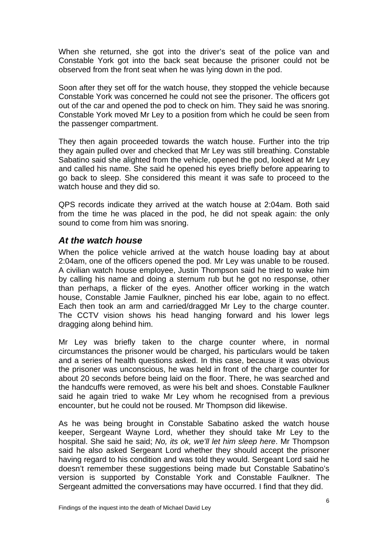<span id="page-7-0"></span>When she returned, she got into the driver's seat of the police van and Constable York got into the back seat because the prisoner could not be observed from the front seat when he was lying down in the pod.

Soon after they set off for the watch house, they stopped the vehicle because Constable York was concerned he could not see the prisoner. The officers got out of the car and opened the pod to check on him. They said he was snoring. Constable York moved Mr Ley to a position from which he could be seen from the passenger compartment.

They then again proceeded towards the watch house. Further into the trip they again pulled over and checked that Mr Ley was still breathing. Constable Sabatino said she alighted from the vehicle, opened the pod, looked at Mr Ley and called his name. She said he opened his eyes briefly before appearing to go back to sleep. She considered this meant it was safe to proceed to the watch house and they did so.

QPS records indicate they arrived at the watch house at 2:04am. Both said from the time he was placed in the pod, he did not speak again: the only sound to come from him was snoring.

#### *At the watch house*

When the police vehicle arrived at the watch house loading bay at about 2:04am, one of the officers opened the pod. Mr Ley was unable to be roused. A civilian watch house employee, Justin Thompson said he tried to wake him by calling his name and doing a sternum rub but he got no response, other than perhaps, a flicker of the eyes. Another officer working in the watch house, Constable Jamie Faulkner, pinched his ear lobe, again to no effect. Each then took an arm and carried/dragged Mr Ley to the charge counter. The CCTV vision shows his head hanging forward and his lower legs dragging along behind him.

Mr Ley was briefly taken to the charge counter where, in normal circumstances the prisoner would be charged, his particulars would be taken and a series of health questions asked. In this case, because it was obvious the prisoner was unconscious, he was held in front of the charge counter for about 20 seconds before being laid on the floor. There, he was searched and the handcuffs were removed, as were his belt and shoes. Constable Faulkner said he again tried to wake Mr Ley whom he recognised from a previous encounter, but he could not be roused. Mr Thompson did likewise.

As he was being brought in Constable Sabatino asked the watch house keeper, Sergeant Wayne Lord, whether they should take Mr Ley to the hospital. She said he said; *No, its ok, we'll let him sleep here*. Mr Thompson said he also asked Sergeant Lord whether they should accept the prisoner having regard to his condition and was told they would. Sergeant Lord said he doesn't remember these suggestions being made but Constable Sabatino's version is supported by Constable York and Constable Faulkner. The Sergeant admitted the conversations may have occurred. I find that they did.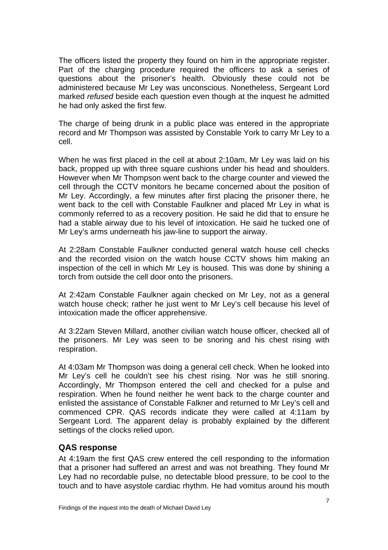The officers listed the property they found on him in the appropriate register. Part of the charging procedure required the officers to ask a series of questions about the prisoner's health. Obviously these could not be administered because Mr Ley was unconscious. Nonetheless, Sergeant Lord marked *refused* beside each question even though at the inquest he admitted he had only asked the first few.

The charge of being drunk in a public place was entered in the appropriate record and Mr Thompson was assisted by Constable York to carry Mr Ley to a cell.

When he was first placed in the cell at about 2:10am, Mr Ley was laid on his back, propped up with three square cushions under his head and shoulders. However when Mr Thompson went back to the charge counter and viewed the cell through the CCTV monitors he became concerned about the position of Mr Ley. Accordingly, a few minutes after first placing the prisoner there, he went back to the cell with Constable Faulkner and placed Mr Ley in what is commonly referred to as a recovery position. He said he did that to ensure he had a stable airway due to his level of intoxication. He said he tucked one of Mr Ley's arms underneath his jaw-line to support the airway.

At 2:28am Constable Faulkner conducted general watch house cell checks and the recorded vision on the watch house CCTV shows him making an inspection of the cell in which Mr Ley is housed. This was done by shining a torch from outside the cell door onto the prisoners.

At 2:42am Constable Faulkner again checked on Mr Ley, not as a general watch house check; rather he just went to Mr Ley's cell because his level of intoxication made the officer apprehensive.

At 3:22am Steven Millard, another civilian watch house officer, checked all of the prisoners. Mr Ley was seen to be snoring and his chest rising with respiration.

At 4:03am Mr Thompson was doing a general cell check. When he looked into Mr Ley's cell he couldn't see his chest rising. Nor was he still snoring. Accordingly, Mr Thompson entered the cell and checked for a pulse and respiration. When he found neither he went back to the charge counter and enlisted the assistance of Constable Falkner and returned to Mr Ley's cell and commenced CPR. QAS records indicate they were called at 4:11am by Sergeant Lord. The apparent delay is probably explained by the different settings of the clocks relied upon.

#### **QAS response**

At 4:19am the first QAS crew entered the cell responding to the information that a prisoner had suffered an arrest and was not breathing. They found Mr Ley had no recordable pulse, no detectable blood pressure, to be cool to the touch and to have asystole cardiac rhythm. He had vomitus around his mouth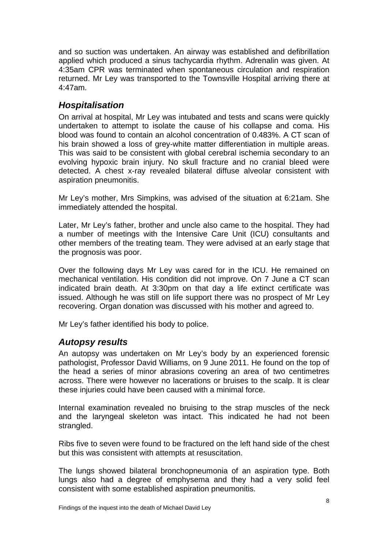<span id="page-9-0"></span>and so suction was undertaken. An airway was established and defibrillation applied which produced a sinus tachycardia rhythm. Adrenalin was given. At 4:35am CPR was terminated when spontaneous circulation and respiration returned. Mr Ley was transported to the Townsville Hospital arriving there at 4:47am.

### *Hospitalisation*

On arrival at hospital, Mr Ley was intubated and tests and scans were quickly undertaken to attempt to isolate the cause of his collapse and coma. His blood was found to contain an alcohol concentration of 0.483%. A CT scan of his brain showed a loss of grey-white matter differentiation in multiple areas. This was said to be consistent with global cerebral ischemia secondary to an evolving hypoxic brain injury. No skull fracture and no cranial bleed were detected. A chest x-ray revealed bilateral diffuse alveolar consistent with aspiration pneumonitis.

Mr Ley's mother, Mrs Simpkins, was advised of the situation at 6:21am. She immediately attended the hospital.

Later, Mr Ley's father, brother and uncle also came to the hospital. They had a number of meetings with the Intensive Care Unit (ICU) consultants and other members of the treating team. They were advised at an early stage that the prognosis was poor.

Over the following days Mr Ley was cared for in the ICU. He remained on mechanical ventilation. His condition did not improve. On 7 June a CT scan indicated brain death. At 3:30pm on that day a life extinct certificate was issued. Although he was still on life support there was no prospect of Mr Ley recovering. Organ donation was discussed with his mother and agreed to.

Mr Ley's father identified his body to police.

### *Autopsy results*

An autopsy was undertaken on Mr Ley's body by an experienced forensic pathologist, Professor David Williams, on 9 June 2011. He found on the top of the head a series of minor abrasions covering an area of two centimetres across. There were however no lacerations or bruises to the scalp. It is clear these injuries could have been caused with a minimal force.

Internal examination revealed no bruising to the strap muscles of the neck and the laryngeal skeleton was intact. This indicated he had not been strangled.

Ribs five to seven were found to be fractured on the left hand side of the chest but this was consistent with attempts at resuscitation.

The lungs showed bilateral bronchopneumonia of an aspiration type. Both lungs also had a degree of emphysema and they had a very solid feel consistent with some established aspiration pneumonitis.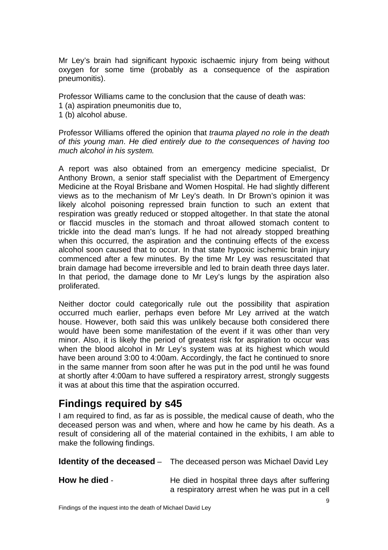<span id="page-10-0"></span>Mr Ley's brain had significant hypoxic ischaemic injury from being without oxygen for some time (probably as a consequence of the aspiration pneumonitis).

Professor Williams came to the conclusion that the cause of death was:

- 1 (a) aspiration pneumonitis due to,
- 1 (b) alcohol abuse.

Professor Williams offered the opinion that *trauma played no role in the death of this young man*. *He died entirely due to the consequences of having too much alcohol in his system.*

A report was also obtained from an emergency medicine specialist, Dr Anthony Brown, a senior staff specialist with the Department of Emergency Medicine at the Royal Brisbane and Women Hospital. He had slightly different views as to the mechanism of Mr Ley's death. In Dr Brown's opinion it was likely alcohol poisoning repressed brain function to such an extent that respiration was greatly reduced or stopped altogether. In that state the atonal or flaccid muscles in the stomach and throat allowed stomach content to trickle into the dead man's lungs. If he had not already stopped breathing when this occurred, the aspiration and the continuing effects of the excess alcohol soon caused that to occur. In that state hypoxic ischemic brain injury commenced after a few minutes. By the time Mr Ley was resuscitated that brain damage had become irreversible and led to brain death three days later. In that period, the damage done to Mr Ley's lungs by the aspiration also proliferated.

Neither doctor could categorically rule out the possibility that aspiration occurred much earlier, perhaps even before Mr Ley arrived at the watch house. However, both said this was unlikely because both considered there would have been some manifestation of the event if it was other than very minor. Also, it is likely the period of greatest risk for aspiration to occur was when the blood alcohol in Mr Ley's system was at its highest which would have been around 3:00 to 4:00am. Accordingly, the fact he continued to snore in the same manner from soon after he was put in the pod until he was found at shortly after 4:00am to have suffered a respiratory arrest, strongly suggests it was at about this time that the aspiration occurred.

## **Findings required by s45**

I am required to find, as far as is possible, the medical cause of death, who the deceased person was and when, where and how he came by his death. As a result of considering all of the material contained in the exhibits, I am able to make the following findings.

|               | <b>Identity of the deceased</b> – The deceased person was Michael David Ley                      |
|---------------|--------------------------------------------------------------------------------------------------|
| How he died - | He died in hospital three days after suffering<br>a respiratory arrest when he was put in a cell |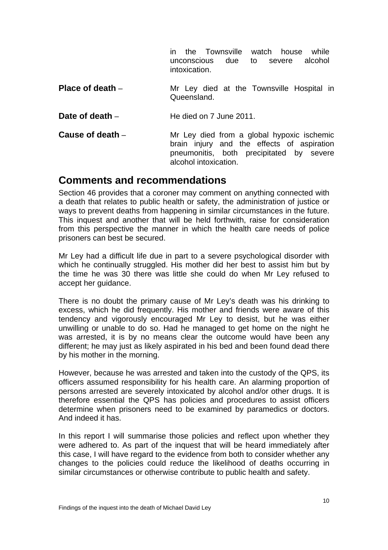in the Townsville watch house while unconscious due to severe alcohol intoxication.

<span id="page-11-0"></span>**Place of death** – Mr Ley died at the Townsville Hospital in Queensland.

**Date of death** – **He died on 7 June 2011.** 

**Cause of death** – Mr Ley died from a global hypoxic ischemic brain injury and the effects of aspiration pneumonitis, both precipitated by severe alcohol intoxication.

### **Comments and recommendations**

Section 46 provides that a coroner may comment on anything connected with a death that relates to public health or safety, the administration of justice or ways to prevent deaths from happening in similar circumstances in the future. This inquest and another that will be held forthwith, raise for consideration from this perspective the manner in which the health care needs of police prisoners can best be secured.

Mr Ley had a difficult life due in part to a severe psychological disorder with which he continually struggled. His mother did her best to assist him but by the time he was 30 there was little she could do when Mr Ley refused to accept her guidance.

There is no doubt the primary cause of Mr Ley's death was his drinking to excess, which he did frequently. His mother and friends were aware of this tendency and vigorously encouraged Mr Ley to desist, but he was either unwilling or unable to do so. Had he managed to get home on the night he was arrested, it is by no means clear the outcome would have been any different; he may just as likely aspirated in his bed and been found dead there by his mother in the morning.

However, because he was arrested and taken into the custody of the QPS, its officers assumed responsibility for his health care. An alarming proportion of persons arrested are severely intoxicated by alcohol and/or other drugs. It is therefore essential the QPS has policies and procedures to assist officers determine when prisoners need to be examined by paramedics or doctors. And indeed it has.

In this report I will summarise those policies and reflect upon whether they were adhered to. As part of the inquest that will be heard immediately after this case, I will have regard to the evidence from both to consider whether any changes to the policies could reduce the likelihood of deaths occurring in similar circumstances or otherwise contribute to public health and safety.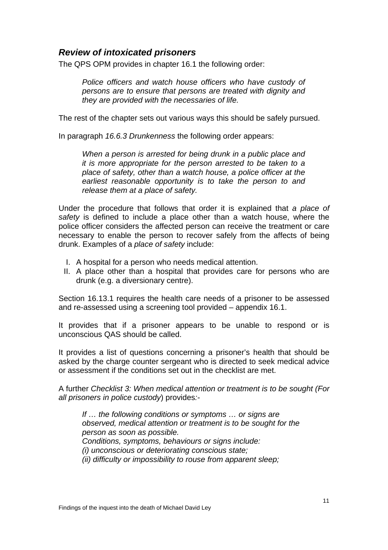#### <span id="page-12-0"></span>*Review of intoxicated prisoners*

The QPS OPM provides in chapter 16.1 the following order:

*Police officers and watch house officers who have custody of persons are to ensure that persons are treated with dignity and they are provided with the necessaries of life.* 

The rest of the chapter sets out various ways this should be safely pursued.

In paragraph *16.6.3 Drunkenness* the following order appears:

*When a person is arrested for being drunk in a public place and it is more appropriate for the person arrested to be taken to a place of safety, other than a watch house, a police officer at the earliest reasonable opportunity is to take the person to and release them at a place of safety.* 

Under the procedure that follows that order it is explained that *a place of safety* is defined to include a place other than a watch house, where the police officer considers the affected person can receive the treatment or care necessary to enable the person to recover safely from the affects of being drunk. Examples of a *place of safety* include:

- I. A hospital for a person who needs medical attention.
- II. A place other than a hospital that provides care for persons who are drunk (e.g. a diversionary centre).

Section 16.13.1 requires the health care needs of a prisoner to be assessed and re-assessed using a screening tool provided – appendix 16.1.

It provides that if a prisoner appears to be unable to respond or is unconscious QAS should be called.

It provides a list of questions concerning a prisoner's health that should be asked by the charge counter sergeant who is directed to seek medical advice or assessment if the conditions set out in the checklist are met.

A further *Checklist 3: When medical attention or treatment is to be sought (For all prisoners in police custody*) provides*:-* 

*If … the following conditions or symptoms … or signs are observed, medical attention or treatment is to be sought for the person as soon as possible. Conditions, symptoms, behaviours or signs include: (i) unconscious or deteriorating conscious state; (ii) difficulty or impossibility to rouse from apparent sleep;*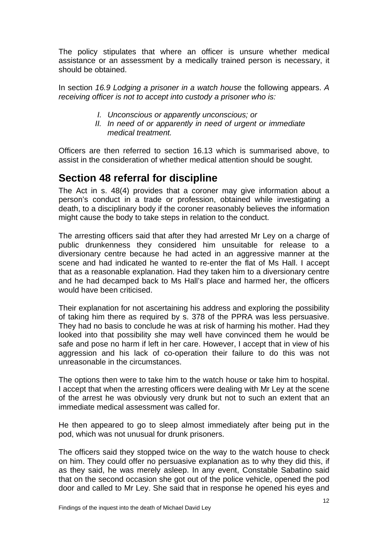<span id="page-13-0"></span>The policy stipulates that where an officer is unsure whether medical assistance or an assessment by a medically trained person is necessary, it should be obtained.

In section *16.9 Lodging a prisoner in a watch house* the following appears. *A receiving officer is not to accept into custody a prisoner who is:* 

- *I. Unconscious or apparently unconscious; or*
- *II. In need of or apparently in need of urgent or immediate medical treatment.*

Officers are then referred to section 16.13 which is summarised above, to assist in the consideration of whether medical attention should be sought.

## **Section 48 referral for discipline**

The Act in s. 48(4) provides that a coroner may give information about a person's conduct in a trade or profession, obtained while investigating a death, to a disciplinary body if the coroner reasonably believes the information might cause the body to take steps in relation to the conduct.

The arresting officers said that after they had arrested Mr Ley on a charge of public drunkenness they considered him unsuitable for release to a diversionary centre because he had acted in an aggressive manner at the scene and had indicated he wanted to re-enter the flat of Ms Hall. I accept that as a reasonable explanation. Had they taken him to a diversionary centre and he had decamped back to Ms Hall's place and harmed her, the officers would have been criticised.

Their explanation for not ascertaining his address and exploring the possibility of taking him there as required by s. 378 of the PPRA was less persuasive. They had no basis to conclude he was at risk of harming his mother. Had they looked into that possibility she may well have convinced them he would be safe and pose no harm if left in her care. However, I accept that in view of his aggression and his lack of co-operation their failure to do this was not unreasonable in the circumstances.

The options then were to take him to the watch house or take him to hospital. I accept that when the arresting officers were dealing with Mr Ley at the scene of the arrest he was obviously very drunk but not to such an extent that an immediate medical assessment was called for.

He then appeared to go to sleep almost immediately after being put in the pod, which was not unusual for drunk prisoners.

The officers said they stopped twice on the way to the watch house to check on him. They could offer no persuasive explanation as to why they did this, if as they said, he was merely asleep. In any event, Constable Sabatino said that on the second occasion she got out of the police vehicle, opened the pod door and called to Mr Ley. She said that in response he opened his eyes and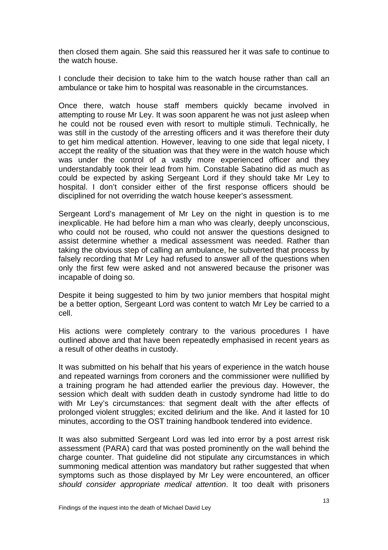then closed them again. She said this reassured her it was safe to continue to the watch house.

I conclude their decision to take him to the watch house rather than call an a mbulance or take him to hospital was reasonable in the circumstances.

Once there, watch house staff members quickly became involved in attempting to rouse Mr Ley. It was soon apparent he was not just asleep when he could not be roused even with resort to multiple stimuli. Technically, he was still in the custody of the arresting officers and it was therefore their duty to get him medical attention. However, leaving to one side that legal nicety, I accept the reality of the situation was that they were in the watch house which was under the control of a vastly more experienced officer and they understandably took their lead from him. Constable Sabatino did as much as could be expected by asking Sergeant Lord if they should take Mr Ley to hospital. I don't consider either of the first response officers should be disciplined for not overriding the watch house keeper's assessment.

Sergeant Lord's management of Mr Ley on the night in question is to me inexplicable. He had before him a man who was clearly, deeply unconscious, who could not be roused, who could not answer the questions designed to assist determine whether a medical assessment was needed. Rather than taking the obvious step of calling an ambulance, he subverted that process by falsely recording that Mr Ley had refused to answer all of the questions when only the first few were asked and not answered because the prisoner was incapable of doing so.

Despite it being suggested to him by two junior members that hospital might be a better option, Sergeant Lord was content to watch Mr Ley be carried to a cell.

His actions were completely contrary to the various procedures I have outlined above and that have been repeatedly emphasised in recent years as a result of other deaths in custody.

It was submitted on his behalf that his years of experience in the watch house and repeated warnings from coroners and the commissioner were nullified by a training program he had attended earlier the previous day. However, the session which dealt with sudden death in custody syndrome had little to do with Mr Ley's circumstances: that segment dealt with the after effects of prolonged violent struggles; excited delirium and the like. And it lasted for 10 minutes, according to the OST training handbook tendered into evidence.

It was also submitted Sergeant Lord was led into error by a post arrest risk assessment (PARA) card that was posted prominently on the wall behind the charge counter. That guideline did not stipulate any circumstances in which summoning medical attention was mandatory but rather suggested that when symptoms such as those displayed by Mr Ley were encountered, an officer *should consider appropriate medical attention*. It too dealt with prisoners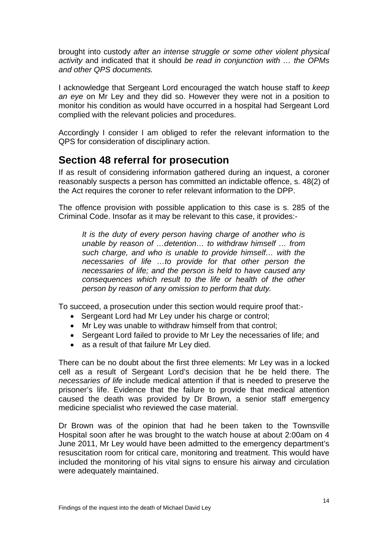<span id="page-15-0"></span>brought into custody *after an intense struggle or some other violent physical activity* and indicated that it should *be read in conjunction with … the OPMs and other QPS documents.*

I acknowledge that Sergeant Lord encouraged the watch house staff to *keep an eye* on Mr Ley and they did so. However they were not in a position to monitor his condition as would have occurred in a hospital had Sergeant Lord complied with the relevant policies and procedures.

Accordingly I consider I am obliged to refer the relevant information to the QPS for consideration of disciplinary action.

### **Section 48 referral for prosecution**

If as result of considering information gathered during an inquest, a coroner reasonably suspects a person has committed an indictable offence, s. 48(2) of the Act requires the coroner to refer relevant information to the DPP.

The offence provision with possible application to this case is s. 285 of the Criminal Code. Insofar as it may be relevant to this case, it provides:-

*It is the duty of every person having charge of another who is unable by reason of …detention… to withdraw himself … from such charge, and who is unable to provide himself… with the necessaries of life …to provide for that other person the necessaries of life; and the person is held to have caused any consequences which result to the life or health of the other person by reason of any omission to perform that duty.* 

To succeed, a prosecution under this section would require proof that:-

- Sergeant Lord had Mr Ley under his charge or control;
- Mr Ley was unable to withdraw himself from that control:
- Sergeant Lord failed to provide to Mr Ley the necessaries of life; and
- as a result of that failure Mr Lev died.

There can be no doubt about the first three elements: Mr Ley was in a locked cell as a result of Sergeant Lord's decision that he be held there. The *necessaries of life* include medical attention if that is needed to preserve the prisoner's life. Evidence that the failure to provide that medical attention caused the death was provided by Dr Brown, a senior staff emergency medicine specialist who reviewed the case material.

Dr Brown was of the opinion that had he been taken to the Townsville Hospital soon after he was brought to the watch house at about 2:00am on 4 June 2011, Mr Ley would have been admitted to the emergency department's resuscitation room for critical care, monitoring and treatment. This would have included the monitoring of his vital signs to ensure his airway and circulation were adequately maintained.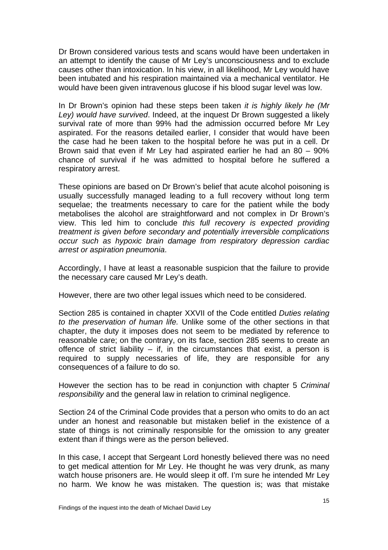Dr Brown considered various tests and scans would have been undertaken in an attempt to identify the cause of Mr Ley's unconsciousness and to exclude causes other than intoxication. In his view, in all likelihood, Mr Ley would have been intubated and his respiration maintained via a mechanical ventilator. He would have been given intravenous glucose if his blood sugar level was low.

In Dr Brown's opinion had these steps been taken *it is highly likely he (Mr Ley) would have survived*. Indeed, at the inquest Dr Brown suggested a likely survival rate of more than 99% had the admission occurred before Mr Ley aspirated. For the reasons detailed earlier, I consider that would have been the case had he been taken to the hospital before he was put in a cell. Dr Brown said that even if Mr Ley had aspirated earlier he had an 80 – 90% chance of survival if he was admitted to hospital before he suffered a respiratory arrest.

These opinions are based on Dr Brown's belief that acute alcohol poisoning is usually successfully managed leading to a full recovery without long term sequelae; the treatments necessary to care for the patient while the body metabolises the alcohol are straightforward and not complex in Dr Brown's view. This led him to conclude *this full recovery is expected providing treatment is given before secondary and potentially irreversible complications ccur such as hypoxic brain damage from respiratory depression cardiac o* arrest or aspiration pneumonia.

Accordingly, I have at least a reasonable suspicion that the failure to provide the necessary care caused Mr Ley's death.

However, there are two other legal issues which need to be considered.

Section 285 is contained in chapter XXVII of the Code entitled *Duties relating to the preservation of human life.* Unlike some of the other sections in that chapter, the duty it imposes does not seem to be mediated by reference to reasonable care; on the contrary, on its face, section 285 seems to create an offence of strict liability  $-$  if, in the circumstances that exist, a person is required to supply necessaries of life, they are responsible for any consequences of a failure to do so.

However the section has to be read in conjunction with chapter 5 *Criminal responsibility* and the general law in relation to criminal negligence.

Section 24 of the Criminal Code provides that a person who omits to do an act under an honest and reasonable but mistaken belief in the existence of a state of things is not criminally responsible for the omission to any greater extent than if things were as the person believed.

In this case, I accept that Sergeant Lord honestly believed there was no need to get medical attention for Mr Ley. He thought he was very drunk, as many watch house prisoners are. He would sleep it off. I'm sure he intended Mr Ley no harm. We know he was mistaken. The question is; was that mistake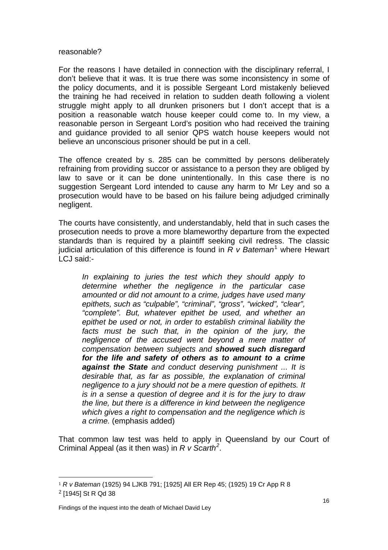#### reasonable?

For the reasons I have detailed in connection with the disciplinary referral, I don't believe that it was. It is true there was some inconsistency in some of the policy documents, and it is possible Sergeant Lord mistakenly believed the training he had received in relation to sudden death following a violent struggle might apply to all drunken prisoners but I don't accept that is a position a reasonable watch house keeper could come to. In my view, a reasonable person in Sergeant Lord's position who had received the training and guidance provided to all senior QPS watch house keepers would not believe an unconscious prisoner should be put in a cell.

The offence created by s. 285 can be committed by persons deliberately refraining from providing succor or assistance to a person they are obliged by law to save or it can be done unintentionally. In this case there is no suggestion Sergeant Lord intended to cause any harm to Mr Ley and so a prosecution would have to be based on his failure being adjudged criminally negligent.

The courts have consistently, and understandably, held that in such cases the prosecution needs to prove a more blameworthy departure from the expected standards than is required by a plaintiff seeking civil redress. The classic judicial articulation of this difference is found in *R v Bateman*[1](#page-17-0) where Hewart LCJ said:-

*In explaining to juries the test which they should apply to determine whether the negligence in the particular case amounted or did not amount to a crime, judges have used many epithets, such as "culpable", "criminal", "gross", "wicked", "clear", "complete". But, whatever epithet be used, and whether an epithet be used or not, in order to establish criminal liability the*  facts must be such that, in the opinion of the jury, the *negligence of the accused went beyond a mere matter of compensation between subjects and showed such disregard for the life and safety of others as to amount to a crime against the State and conduct deserving punishment ... It is desirable that, as far as possible, the explanation of criminal negligence to a jury should not be a mere question of epithets. It is in a sense a question of degree and it is for the jury to draw the line, but there is a difference in kind between the negligence which gives a right to compensation and the negligence which is a crime.* (emphasis added)

That common law test was held to apply in Queensland by our Court of Criminal Appeal (as it then was) in *R v Scarth[2](#page-17-1) .* 

ł

<span id="page-17-1"></span><span id="page-17-0"></span><sup>1</sup> *R v Bateman* (1925) 94 LJKB 791; [1925] All ER Rep 45; (1925) 19 Cr App R 8 2 [1945] St R Qd 38